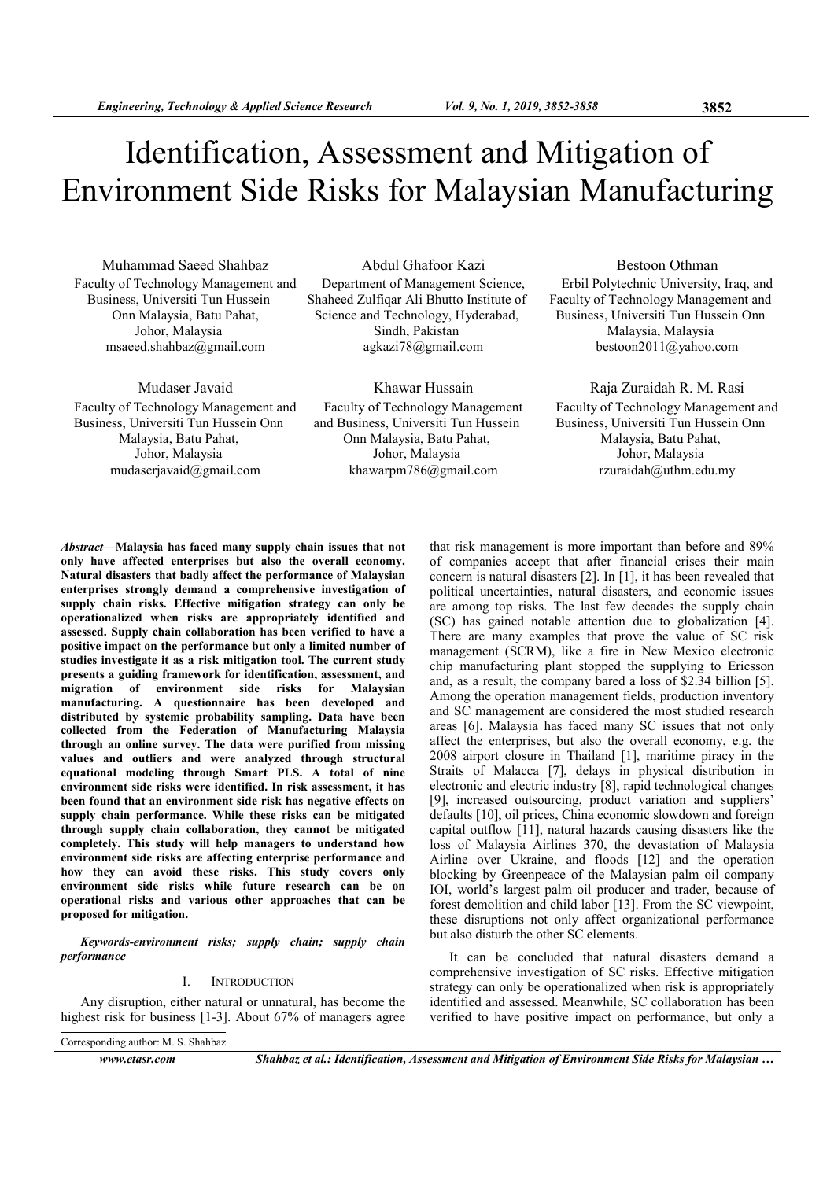# Identification, Assessment and Mitigation of Environment Side Risks for Malaysian Manufacturing

Muhammad Saeed Shahbaz Faculty of Technology Management and Business, Universiti Tun Hussein Onn Malaysia, Batu Pahat, Johor, Malaysia msaeed.shahbaz@gmail.com

Mudaser Javaid

Faculty of Technology Management and Business, Universiti Tun Hussein Onn Malaysia, Batu Pahat, Johor, Malaysia mudaserjavaid@gmail.com

## Abdul Ghafoor Kazi

Department of Management Science, Shaheed Zulfiqar Ali Bhutto Institute of Science and Technology, Hyderabad, Sindh, Pakistan agkazi78@gmail.com

Khawar Hussain

Faculty of Technology Management and Business, Universiti Tun Hussein Onn Malaysia, Batu Pahat, Johor, Malaysia khawarpm786@gmail.com

Bestoon Othman

Erbil Polytechnic University, Iraq, and Faculty of Technology Management and Business, Universiti Tun Hussein Onn Malaysia, Malaysia bestoon2011@yahoo.com

## Raja Zuraidah R. M. Rasi

Faculty of Technology Management and Business, Universiti Tun Hussein Onn Malaysia, Batu Pahat, Johor, Malaysia rzuraidah@uthm.edu.my

Abstract—Malaysia has faced many supply chain issues that not only have affected enterprises but also the overall economy. Natural disasters that badly affect the performance of Malaysian enterprises strongly demand a comprehensive investigation of supply chain risks. Effective mitigation strategy can only be operationalized when risks are appropriately identified and assessed. Supply chain collaboration has been verified to have a positive impact on the performance but only a limited number of studies investigate it as a risk mitigation tool. The current study presents a guiding framework for identification, assessment, and migration of environment side risks for Malaysian manufacturing. A questionnaire has been developed and distributed by systemic probability sampling. Data have been collected from the Federation of Manufacturing Malaysia through an online survey. The data were purified from missing values and outliers and were analyzed through structural equational modeling through Smart PLS. A total of nine environment side risks were identified. In risk assessment, it has been found that an environment side risk has negative effects on supply chain performance. While these risks can be mitigated through supply chain collaboration, they cannot be mitigated completely. This study will help managers to understand how environment side risks are affecting enterprise performance and how they can avoid these risks. This study covers only environment side risks while future research can be on operational risks and various other approaches that can be proposed for mitigation.

Keywords-environment risks; supply chain; supply chain performance

## I. INTRODUCTION

Any disruption, either natural or unnatural, has become the highest risk for business [1-3]. About 67% of managers agree

Corresponding author: M. S. Shahbaz

www.etasr.com Shahbaz et al.: Identification, Assessment and Mitigation of Environment Side Risks for Malaysian ...

of companies accept that after financial crises their main concern is natural disasters [2]. In [1], it has been revealed that political uncertainties, natural disasters, and economic issues are among top risks. The last few decades the supply chain (SC) has gained notable attention due to globalization [4]. There are many examples that prove the value of SC risk management (SCRM), like a fire in New Mexico electronic chip manufacturing plant stopped the supplying to Ericsson and, as a result, the company bared a loss of \$2.34 billion [5]. Among the operation management fields, production inventory and SC management are considered the most studied research areas [6]. Malaysia has faced many SC issues that not only affect the enterprises, but also the overall economy, e.g. the 2008 airport closure in Thailand [1], maritime piracy in the Straits of Malacca [7], delays in physical distribution in electronic and electric industry [8], rapid technological changes [9], increased outsourcing, product variation and suppliers' defaults [10], oil prices, China economic slowdown and foreign capital outflow [11], natural hazards causing disasters like the loss of Malaysia Airlines 370, the devastation of Malaysia Airline over Ukraine, and floods [12] and the operation blocking by Greenpeace of the Malaysian palm oil company IOI, world's largest palm oil producer and trader, because of forest demolition and child labor [13]. From the SC viewpoint, these disruptions not only affect organizational performance but also disturb the other SC elements.

that risk management is more important than before and 89%

It can be concluded that natural disasters demand a comprehensive investigation of SC risks. Effective mitigation strategy can only be operationalized when risk is appropriately identified and assessed. Meanwhile, SC collaboration has been verified to have positive impact on performance, but only a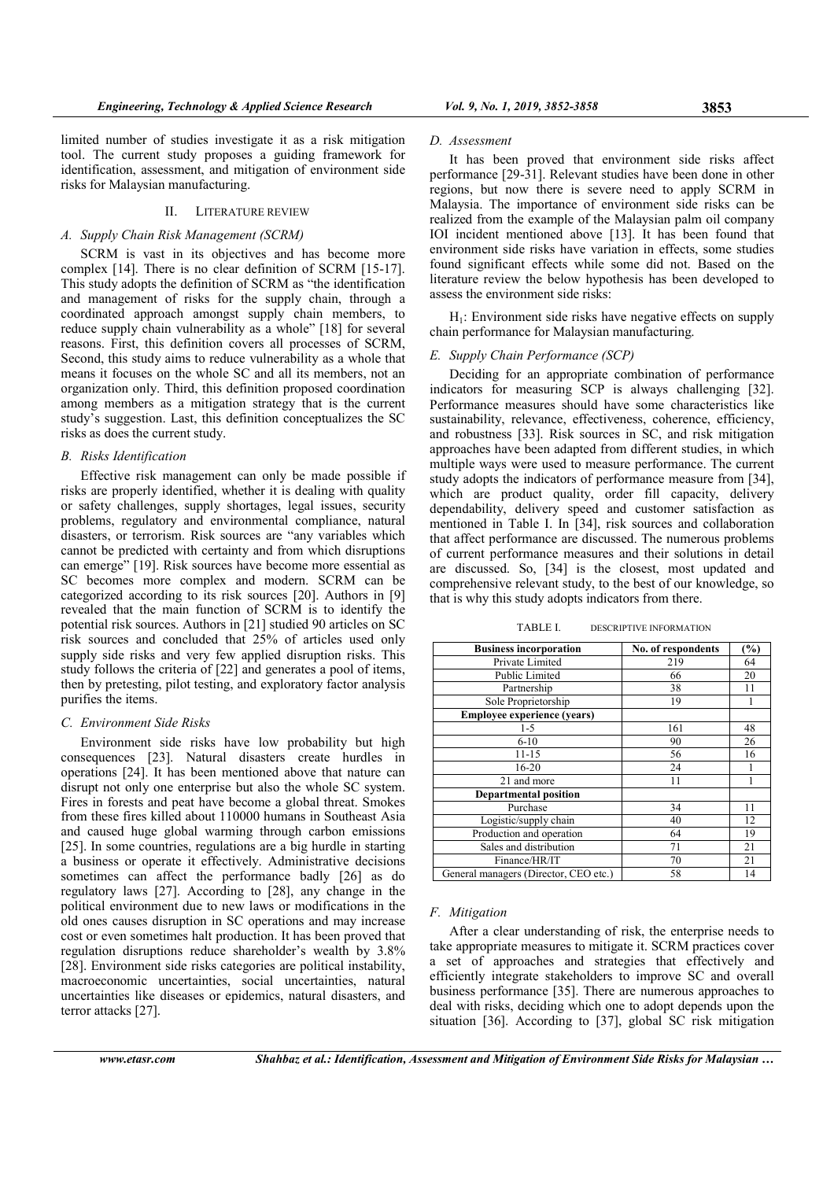limited number of studies investigate it as a risk mitigation tool. The current study proposes a guiding framework for identification, assessment, and mitigation of environment side risks for Malaysian manufacturing.

#### II. LITERATURE REVIEW

# A. Supply Chain Risk Management (SCRM)

SCRM is vast in its objectives and has become more complex [14]. There is no clear definition of SCRM [15-17]. This study adopts the definition of SCRM as "the identification and management of risks for the supply chain, through a coordinated approach amongst supply chain members, to reduce supply chain vulnerability as a whole" [18] for several reasons. First, this definition covers all processes of SCRM, Second, this study aims to reduce vulnerability as a whole that means it focuses on the whole SC and all its members, not an organization only. Third, this definition proposed coordination among members as a mitigation strategy that is the current study's suggestion. Last, this definition conceptualizes the SC risks as does the current study.

# B. Risks Identification

Effective risk management can only be made possible if risks are properly identified, whether it is dealing with quality or safety challenges, supply shortages, legal issues, security problems, regulatory and environmental compliance, natural disasters, or terrorism. Risk sources are "any variables which cannot be predicted with certainty and from which disruptions can emerge" [19]. Risk sources have become more essential as SC becomes more complex and modern. SCRM can be categorized according to its risk sources [20]. Authors in [9] revealed that the main function of SCRM is to identify the potential risk sources. Authors in [21] studied 90 articles on SC risk sources and concluded that 25% of articles used only supply side risks and very few applied disruption risks. This study follows the criteria of [22] and generates a pool of items, then by pretesting, pilot testing, and exploratory factor analysis purifies the items.

## C. Environment Side Risks

Environment side risks have low probability but high consequences [23]. Natural disasters create hurdles in operations [24]. It has been mentioned above that nature can disrupt not only one enterprise but also the whole SC system. Fires in forests and peat have become a global threat. Smokes from these fires killed about 110000 humans in Southeast Asia and caused huge global warming through carbon emissions [25]. In some countries, regulations are a big hurdle in starting a business or operate it effectively. Administrative decisions sometimes can affect the performance badly [26] as do regulatory laws [27]. According to [28], any change in the political environment due to new laws or modifications in the old ones causes disruption in SC operations and may increase cost or even sometimes halt production. It has been proved that regulation disruptions reduce shareholder's wealth by 3.8% [28]. Environment side risks categories are political instability, macroeconomic uncertainties, social uncertainties, natural uncertainties like diseases or epidemics, natural disasters, and terror attacks [27].

#### D. Assessment

It has been proved that environment side risks affect performance [29-31]. Relevant studies have been done in other regions, but now there is severe need to apply SCRM in Malaysia. The importance of environment side risks can be realized from the example of the Malaysian palm oil company IOI incident mentioned above [13]. It has been found that environment side risks have variation in effects, some studies found significant effects while some did not. Based on the literature review the below hypothesis has been developed to assess the environment side risks:

 $H<sub>1</sub>$ : Environment side risks have negative effects on supply chain performance for Malaysian manufacturing.

#### E. Supply Chain Performance (SCP)

Deciding for an appropriate combination of performance indicators for measuring SCP is always challenging [32]. Performance measures should have some characteristics like sustainability, relevance, effectiveness, coherence, efficiency, and robustness [33]. Risk sources in SC, and risk mitigation approaches have been adapted from different studies, in which multiple ways were used to measure performance. The current study adopts the indicators of performance measure from [34], which are product quality, order fill capacity, delivery dependability, delivery speed and customer satisfaction as mentioned in Table I. In [34], risk sources and collaboration that affect performance are discussed. The numerous problems of current performance measures and their solutions in detail are discussed. So, [34] is the closest, most updated and comprehensive relevant study, to the best of our knowledge, so that is why this study adopts indicators from there.

TABLE I. DESCRIPTIVE INFORMATION

| <b>Business incorporation</b>         | No. of respondents | $(\%)$ |
|---------------------------------------|--------------------|--------|
| Private Limited                       | 219                | 64     |
| Public Limited                        | 66                 | 20     |
| Partnership                           | 38                 | 11     |
| Sole Proprietorship                   | 19                 |        |
| <b>Employee experience (years)</b>    |                    |        |
| $1-5$                                 | 161                | 48     |
| $6 - 10$                              | 90                 | 26     |
| $11 - 15$                             | 56                 | 16     |
| $16 - 20$                             | 24                 |        |
| 21 and more                           | 11                 |        |
| <b>Departmental position</b>          |                    |        |
| Purchase                              | 34                 | 11     |
| Logistic/supply chain                 | 40                 | 12     |
| Production and operation              | 64                 | 19     |
| Sales and distribution                | 71                 | 21     |
| Finance/HR/IT                         | 70                 | 21     |
| General managers (Director, CEO etc.) | 58                 | 14     |

# F. Mitigation

After a clear understanding of risk, the enterprise needs to take appropriate measures to mitigate it. SCRM practices cover a set of approaches and strategies that effectively and efficiently integrate stakeholders to improve SC and overall business performance [35]. There are numerous approaches to deal with risks, deciding which one to adopt depends upon the situation [36]. According to [37], global SC risk mitigation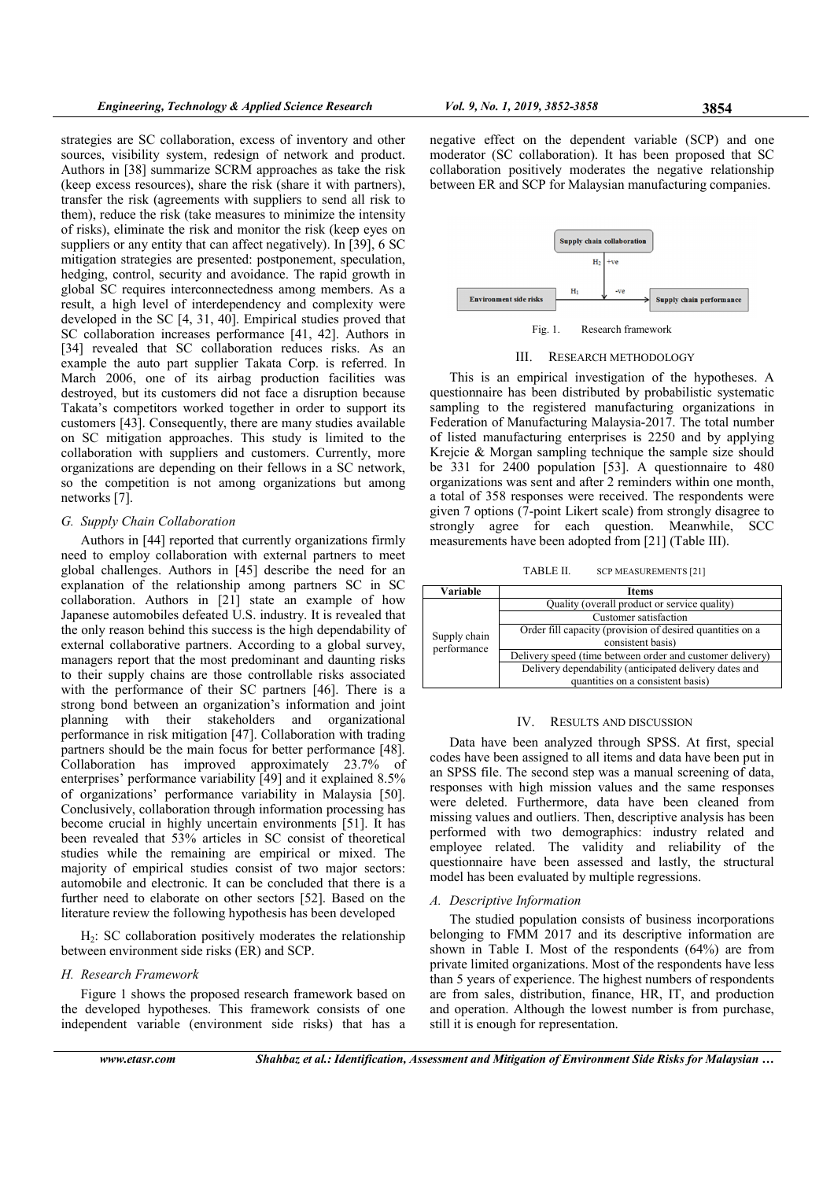strategies are SC collaboration, excess of inventory and other sources, visibility system, redesign of network and product. Authors in [38] summarize SCRM approaches as take the risk (keep excess resources), share the risk (share it with partners), transfer the risk (agreements with suppliers to send all risk to them), reduce the risk (take measures to minimize the intensity of risks), eliminate the risk and monitor the risk (keep eyes on suppliers or any entity that can affect negatively). In [39], 6 SC mitigation strategies are presented: postponement, speculation, hedging, control, security and avoidance. The rapid growth in global SC requires interconnectedness among members. As a result, a high level of interdependency and complexity were developed in the SC [4, 31, 40]. Empirical studies proved that SC collaboration increases performance [41, 42]. Authors in [34] revealed that SC collaboration reduces risks. As an example the auto part supplier Takata Corp. is referred. In March 2006, one of its airbag production facilities was destroyed, but its customers did not face a disruption because Takata's competitors worked together in order to support its customers [43]. Consequently, there are many studies available on SC mitigation approaches. This study is limited to the collaboration with suppliers and customers. Currently, more organizations are depending on their fellows in a SC network, so the competition is not among organizations but among networks [7].

#### G. Supply Chain Collaboration

Authors in [44] reported that currently organizations firmly need to employ collaboration with external partners to meet global challenges. Authors in [45] describe the need for an explanation of the relationship among partners SC in SC collaboration. Authors in [21] state an example of how Japanese automobiles defeated U.S. industry. It is revealed that the only reason behind this success is the high dependability of external collaborative partners. According to a global survey, managers report that the most predominant and daunting risks to their supply chains are those controllable risks associated with the performance of their SC partners [46]. There is a strong bond between an organization's information and joint planning with their stakeholders and organizational performance in risk mitigation [47]. Collaboration with trading partners should be the main focus for better performance [48]. Collaboration has improved approximately 23.7% of enterprises' performance variability [49] and it explained 8.5% of organizations' performance variability in Malaysia [50]. Conclusively, collaboration through information processing has become crucial in highly uncertain environments [51]. It has been revealed that 53% articles in SC consist of theoretical studies while the remaining are empirical or mixed. The majority of empirical studies consist of two major sectors: automobile and electronic. It can be concluded that there is a further need to elaborate on other sectors [52]. Based on the literature review the following hypothesis has been developed

 $H<sub>2</sub>$ : SC collaboration positively moderates the relationship between environment side risks (ER) and SCP.

## H. Research Framework

Figure 1 shows the proposed research framework based on the developed hypotheses. This framework consists of one independent variable (environment side risks) that has a negative effect on the dependent variable (SCP) and one moderator (SC collaboration). It has been proposed that SC collaboration positively moderates the negative relationship between ER and SCP for Malaysian manufacturing companies.



#### III. RESEARCH METHODOLOGY

This is an empirical investigation of the hypotheses. A questionnaire has been distributed by probabilistic systematic sampling to the registered manufacturing organizations in Federation of Manufacturing Malaysia-2017. The total number of listed manufacturing enterprises is 2250 and by applying Krejcie & Morgan sampling technique the sample size should be 331 for 2400 population [53]. A questionnaire to 480 organizations was sent and after 2 reminders within one month, a total of 358 responses were received. The respondents were given 7 options (7-point Likert scale) from strongly disagree to strongly agree for each question. Meanwhile, SCC measurements have been adopted from [21] (Table III).

TABLE II. SCP MEASUREMENTS [21]

| Variable                    | <b>Items</b>                                              |
|-----------------------------|-----------------------------------------------------------|
| Supply chain<br>performance | Quality (overall product or service quality)              |
|                             | Customer satisfaction                                     |
|                             | Order fill capacity (provision of desired quantities on a |
|                             | consistent basis)                                         |
|                             | Delivery speed (time between order and customer delivery) |
|                             | Delivery dependability (anticipated delivery dates and    |
|                             | quantities on a consistent basis)                         |

#### IV. RESULTS AND DISCUSSION

Data have been analyzed through SPSS. At first, special codes have been assigned to all items and data have been put in an SPSS file. The second step was a manual screening of data, responses with high mission values and the same responses were deleted. Furthermore, data have been cleaned from missing values and outliers. Then, descriptive analysis has been performed with two demographics: industry related and employee related. The validity and reliability of the questionnaire have been assessed and lastly, the structural model has been evaluated by multiple regressions.

# A. Descriptive Information

The studied population consists of business incorporations belonging to FMM 2017 and its descriptive information are shown in Table I. Most of the respondents (64%) are from private limited organizations. Most of the respondents have less than 5 years of experience. The highest numbers of respondents are from sales, distribution, finance, HR, IT, and production and operation. Although the lowest number is from purchase, still it is enough for representation.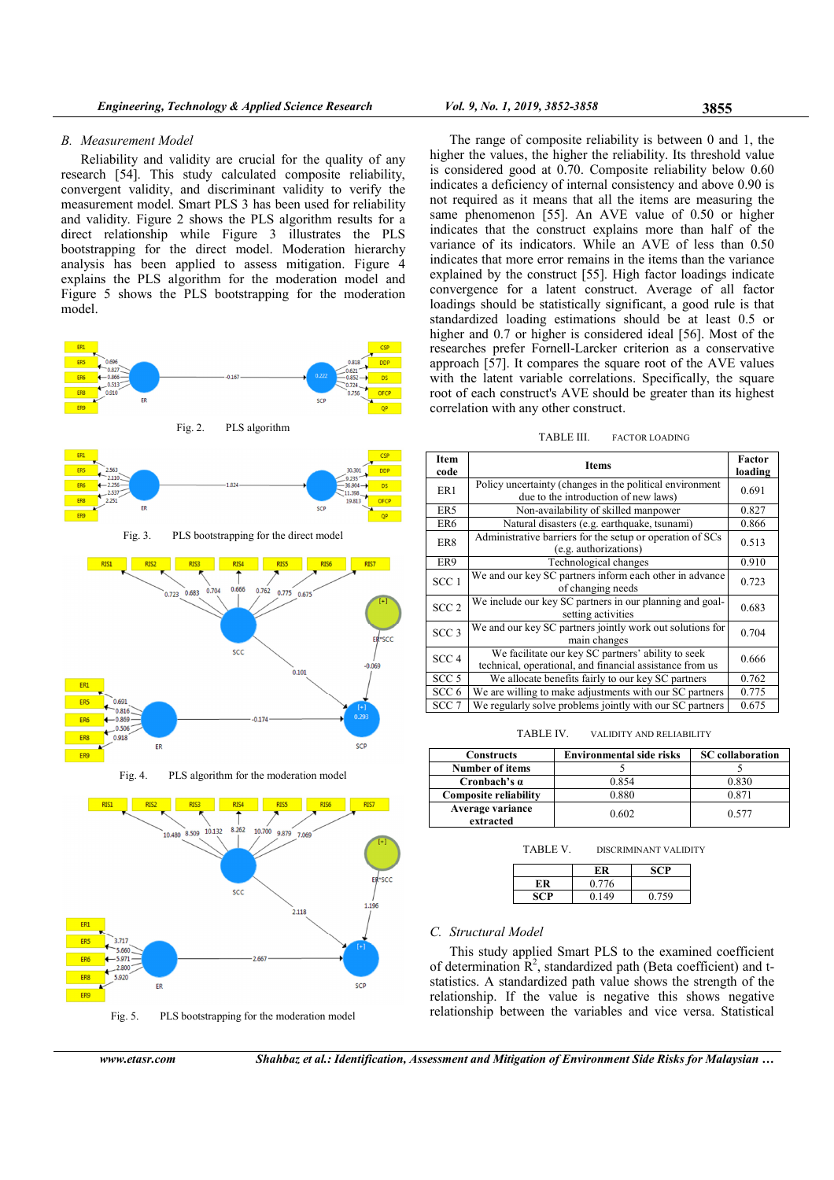## B. Measurement Model

Reliability and validity are crucial for the quality of any research [54]. This study calculated composite reliability, convergent validity, and discriminant validity to verify the measurement model. Smart PLS 3 has been used for reliability and validity. Figure 2 shows the PLS algorithm results for a direct relationship while Figure 3 illustrates the PLS bootstrapping for the direct model. Moderation hierarchy analysis has been applied to assess mitigation. Figure 4 explains the PLS algorithm for the moderation model and Figure 5 shows the PLS bootstrapping for the moderation model.



Fig. 4. PLS algorithm for the moderation model



Fig. 5. PLS bootstrapping for the moderation model

The range of composite reliability is between 0 and 1, the higher the values, the higher the reliability. Its threshold value is considered good at 0.70. Composite reliability below 0.60 indicates a deficiency of internal consistency and above 0.90 is not required as it means that all the items are measuring the same phenomenon [55]. An AVE value of 0.50 or higher indicates that the construct explains more than half of the variance of its indicators. While an AVE of less than 0.50 indicates that more error remains in the items than the variance explained by the construct [55]. High factor loadings indicate convergence for a latent construct. Average of all factor loadings should be statistically significant, a good rule is that standardized loading estimations should be at least 0.5 or higher and 0.7 or higher is considered ideal [56]. Most of the researches prefer Fornell-Larcker criterion as a conservative approach [57]. It compares the square root of the AVE values with the latent variable correlations. Specifically, the square root of each construct's AVE should be greater than its highest correlation with any other construct.

#### TABLE III. FACTOR LOADING

| Item<br>code     | <b>Items</b>                                                                                                   | Factor<br>loading |
|------------------|----------------------------------------------------------------------------------------------------------------|-------------------|
| ER1              | Policy uncertainty (changes in the political environment<br>due to the introduction of new laws)               | 0.691             |
| ER5              | Non-availability of skilled manpower                                                                           | 0.827             |
| ER6              | Natural disasters (e.g. earthquake, tsunami)                                                                   | 0.866             |
| ER8              | Administrative barriers for the setup or operation of SCs<br>(e.g. authorizations)                             | 0.513             |
| ER9              | Technological changes                                                                                          | 0.910             |
| SCC <sub>1</sub> | We and our key SC partners inform each other in advance<br>of changing needs                                   | 0.723             |
| SCC <sub>2</sub> | We include our key SC partners in our planning and goal-<br>setting activities                                 | 0.683             |
| SCC <sub>3</sub> | We and our key SC partners jointly work out solutions for<br>main changes                                      | 0.704             |
| SCC <sub>4</sub> | We facilitate our key SC partners' ability to seek<br>technical, operational, and financial assistance from us | 0.666             |
| SCC <sub>5</sub> | We allocate benefits fairly to our key SC partners                                                             | 0.762             |
| SCC <sub>6</sub> | We are willing to make adjustments with our SC partners                                                        | 0.775             |
| SCC <sub>7</sub> | We regularly solve problems jointly with our SC partners                                                       | 0.675             |

TABLE IV. VALIDITY AND RELIABILITY

| <b>Constructs</b>             | <b>Environmental side risks</b> | <b>SC</b> collaboration |
|-------------------------------|---------------------------------|-------------------------|
| <b>Number of items</b>        |                                 |                         |
| Cronbach's $\alpha$           | 0.854                           | 0.830                   |
| <b>Composite reliability</b>  | 0.880                           | 0.871                   |
| Average variance<br>extracted | 0.602                           | 0.577                   |

| TABLE V. | DISCRIMINANT VALIDITY |  |
|----------|-----------------------|--|
|          |                       |  |

| 0.776 |       |
|-------|-------|
| 0.149 | 0.759 |
|       |       |

# C. Structural Model

This study applied Smart PLS to the examined coefficient of determination  $\mathbb{R}^2$ , standardized path (Beta coefficient) and tstatistics. A standardized path value shows the strength of the relationship. If the value is negative this shows negative relationship between the variables and vice versa. Statistical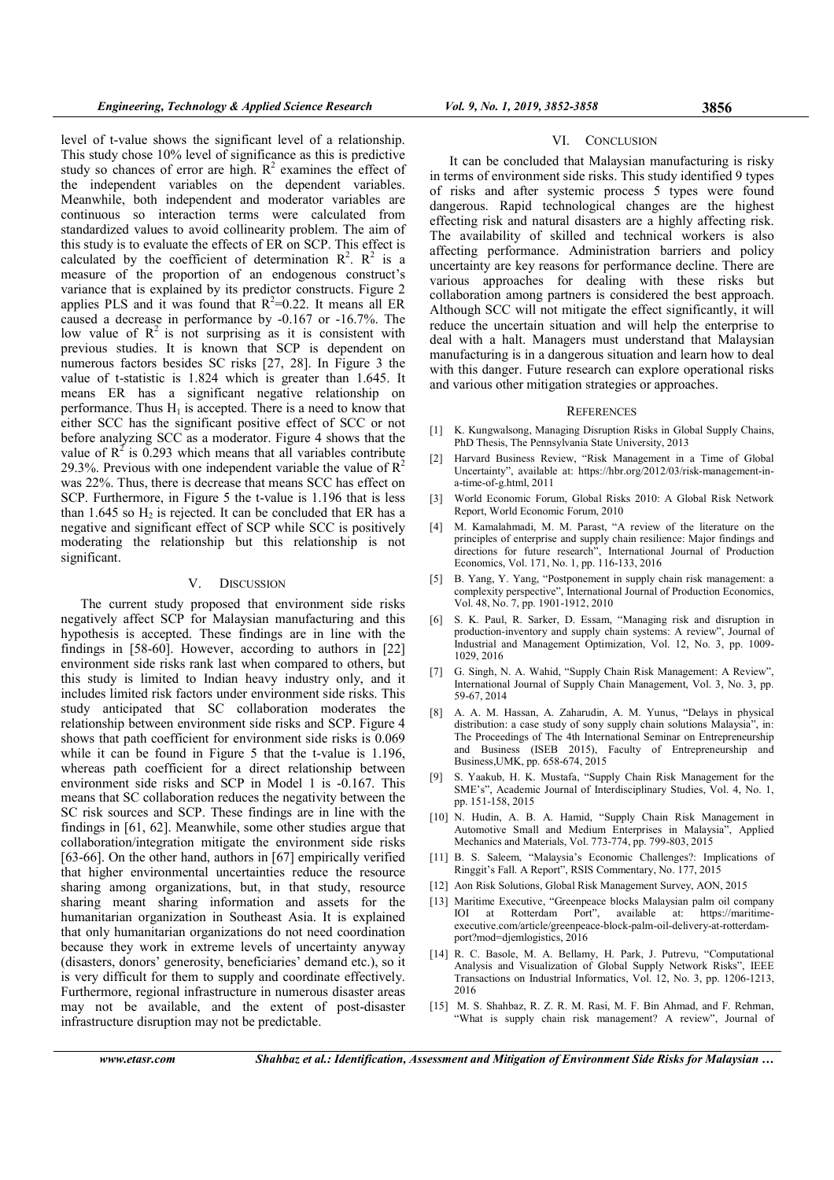level of t-value shows the significant level of a relationship. This study chose 10% level of significance as this is predictive study so chances of error are high.  $R^2$  examines the effect of the independent variables on the dependent variables. Meanwhile, both independent and moderator variables are continuous so interaction terms were calculated from standardized values to avoid collinearity problem. The aim of this study is to evaluate the effects of ER on SCP. This effect is calculated by the coefficient of determination  $\mathbb{R}^2$ .  $\mathbb{R}^2$  is a measure of the proportion of an endogenous construct's variance that is explained by its predictor constructs. Figure 2 applies PLS and it was found that  $R^2=0.22$ . It means all ER caused a decrease in performance by -0.167 or -16.7%. The low value of  $\mathbb{R}^2$  is not surprising as it is consistent with previous studies. It is known that SCP is dependent on numerous factors besides SC risks [27, 28]. In Figure 3 the value of t-statistic is 1.824 which is greater than 1.645. It means ER has a significant negative relationship on performance. Thus  $H_1$  is accepted. There is a need to know that either SCC has the significant positive effect of SCC or not before analyzing SCC as a moderator. Figure 4 shows that the value of  $R^2$  is 0.293 which means that all variables contribute 29.3%. Previous with one independent variable the value of  $\mathbb{R}^2$ was 22%. Thus, there is decrease that means SCC has effect on SCP. Furthermore, in Figure 5 the t-value is 1.196 that is less than  $1.645$  so  $H_2$  is rejected. It can be concluded that ER has a negative and significant effect of SCP while SCC is positively moderating the relationship but this relationship is not significant.

### V. DISCUSSION

The current study proposed that environment side risks negatively affect SCP for Malaysian manufacturing and this hypothesis is accepted. These findings are in line with the findings in [58-60]. However, according to authors in [22] environment side risks rank last when compared to others, but this study is limited to Indian heavy industry only, and it includes limited risk factors under environment side risks. This study anticipated that SC collaboration moderates the relationship between environment side risks and SCP. Figure 4 shows that path coefficient for environment side risks is 0.069 while it can be found in Figure 5 that the t-value is 1.196, whereas path coefficient for a direct relationship between environment side risks and SCP in Model 1 is -0.167. This means that SC collaboration reduces the negativity between the SC risk sources and SCP. These findings are in line with the findings in [61, 62]. Meanwhile, some other studies argue that collaboration/integration mitigate the environment side risks [63-66]. On the other hand, authors in [67] empirically verified that higher environmental uncertainties reduce the resource sharing among organizations, but, in that study, resource sharing meant sharing information and assets for the humanitarian organization in Southeast Asia. It is explained that only humanitarian organizations do not need coordination because they work in extreme levels of uncertainty anyway (disasters, donors' generosity, beneficiaries' demand etc.), so it is very difficult for them to supply and coordinate effectively. Furthermore, regional infrastructure in numerous disaster areas may not be available, and the extent of post-disaster infrastructure disruption may not be predictable.

# VI. CONCLUSION

It can be concluded that Malaysian manufacturing is risky in terms of environment side risks. This study identified 9 types of risks and after systemic process 5 types were found dangerous. Rapid technological changes are the highest effecting risk and natural disasters are a highly affecting risk. The availability of skilled and technical workers is also affecting performance. Administration barriers and policy uncertainty are key reasons for performance decline. There are various approaches for dealing with these risks but collaboration among partners is considered the best approach. Although SCC will not mitigate the effect significantly, it will reduce the uncertain situation and will help the enterprise to deal with a halt. Managers must understand that Malaysian manufacturing is in a dangerous situation and learn how to deal with this danger. Future research can explore operational risks and various other mitigation strategies or approaches.

#### **REFERENCES**

- [1] K. Kungwalsong, Managing Disruption Risks in Global Supply Chains, PhD Thesis, The Pennsylvania State University, 2013
- [2] Harvard Business Review, "Risk Management in a Time of Global Uncertainty", available at: https://hbr.org/2012/03/risk-management-ina-time-of-g.html, 2011
- [3] World Economic Forum, Global Risks 2010: A Global Risk Network Report, World Economic Forum, 2010
- [4] M. Kamalahmadi, M. M. Parast, "A review of the literature on the principles of enterprise and supply chain resilience: Major findings and directions for future research", International Journal of Production Economics, Vol. 171, No. 1, pp. 116-133, 2016
- [5] B. Yang, Y. Yang, "Postponement in supply chain risk management: a complexity perspective", International Journal of Production Economics, Vol. 48, No. 7, pp. 1901-1912, 2010
- [6] S. K. Paul, R. Sarker, D. Essam, "Managing risk and disruption in production-inventory and supply chain systems: A review", Journal of Industrial and Management Optimization, Vol. 12, No. 3, pp. 1009- 1029, 2016
- [7] G. Singh, N. A. Wahid, "Supply Chain Risk Management: A Review", International Journal of Supply Chain Management, Vol. 3, No. 3, pp. 59-67, 2014
- [8] A. A. M. Hassan, A. Zaharudin, A. M. Yunus, "Delays in physical distribution: a case study of sony supply chain solutions Malaysia", in: The Proceedings of The 4th International Seminar on Entrepreneurship and Business (ISEB 2015), Faculty of Entrepreneurship and Business,UMK, pp. 658-674, 2015
- [9] S. Yaakub, H. K. Mustafa, "Supply Chain Risk Management for the SME's", Academic Journal of Interdisciplinary Studies, Vol. 4, No. 1, pp. 151-158, 2015
- [10] N. Hudin, A. B. A. Hamid, "Supply Chain Risk Management in Automotive Small and Medium Enterprises in Malaysia", Applied Mechanics and Materials, Vol. 773-774, pp. 799-803, 2015
- [11] B. S. Saleem, "Malaysia's Economic Challenges?: Implications of Ringgit's Fall. A Report", RSIS Commentary, No. 177, 2015
- [12] Aon Risk Solutions, Global Risk Management Survey, AON, 2015
- [13] Maritime Executive, "Greenpeace blocks Malaysian palm oil company IOI at Rotterdam Port", available at: https://maritimeexecutive.com/article/greenpeace-block-palm-oil-delivery-at-rotterdamport?mod=djemlogistics, 2016
- [14] R. C. Basole, M. A. Bellamy, H. Park, J. Putrevu, "Computational Analysis and Visualization of Global Supply Network Risks", IEEE Transactions on Industrial Informatics, Vol. 12, No. 3, pp. 1206-1213, 2016
- [15] M. S. Shahbaz, R. Z. R. M. Rasi, M. F. Bin Ahmad, and F. Rehman, "What is supply chain risk management? A review", Journal of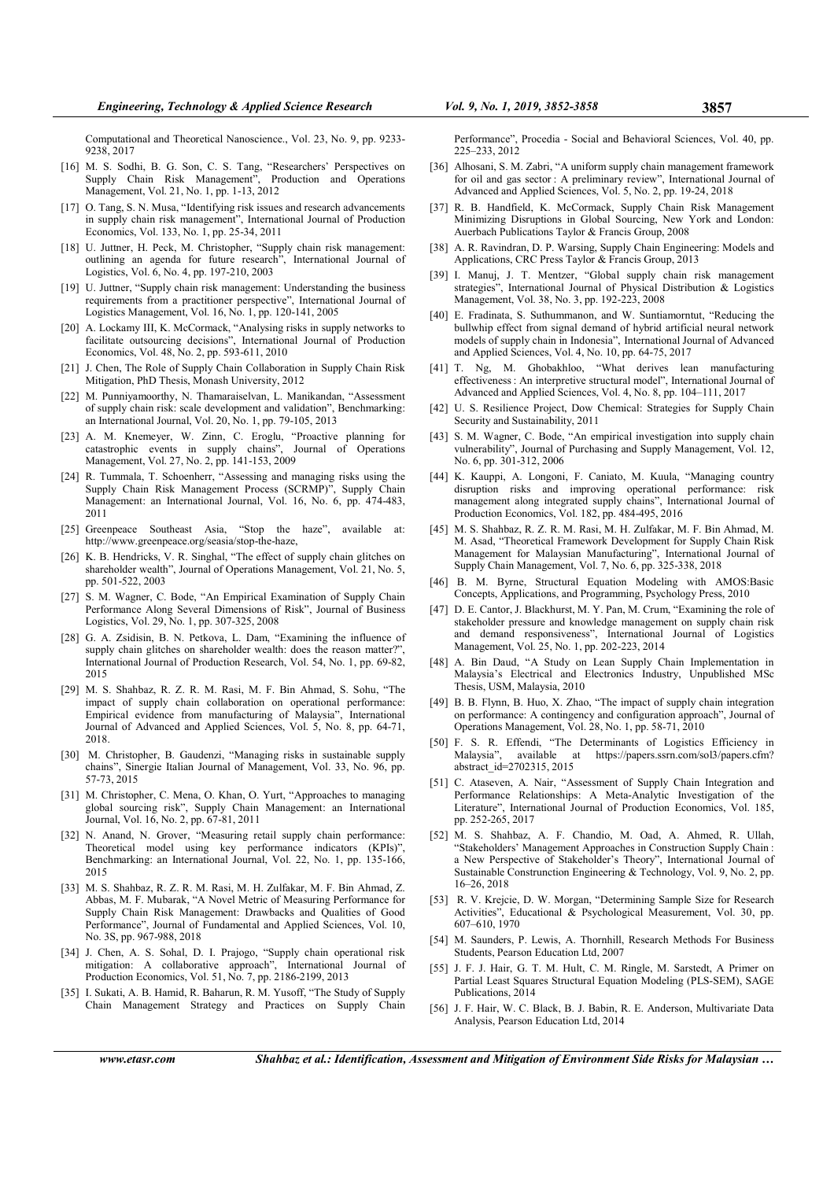Computational and Theoretical Nanoscience., Vol. 23, No. 9, pp. 9233- 9238, 2017

- [16] M. S. Sodhi, B. G. Son, C. S. Tang, "Researchers' Perspectives on Supply Chain Risk Management", Production and Operations Management, Vol. 21, No. 1, pp. 1-13, 2012
- [17] O. Tang, S. N. Musa, "Identifying risk issues and research advancements in supply chain risk management", International Journal of Production Economics, Vol. 133, No. 1, pp. 25-34, 2011
- [18] U. Juttner, H. Peck, M. Christopher, "Supply chain risk management: outlining an agenda for future research", International Journal of Logistics, Vol. 6, No. 4, pp. 197-210, 2003
- [19] U. Juttner, "Supply chain risk management: Understanding the business requirements from a practitioner perspective", International Journal of Logistics Management, Vol. 16, No. 1, pp. 120-141, 2005
- [20] A. Lockamy III, K. McCormack, "Analysing risks in supply networks to facilitate outsourcing decisions", International Journal of Production Economics, Vol. 48, No. 2, pp. 593-611, 2010
- [21] J. Chen, The Role of Supply Chain Collaboration in Supply Chain Risk Mitigation, PhD Thesis, Monash University, 2012
- [22] M. Punniyamoorthy, N. Thamaraiselvan, L. Manikandan, "Assessment of supply chain risk: scale development and validation", Benchmarking: an International Journal, Vol. 20, No. 1, pp. 79-105, 2013
- [23] A. M. Knemeyer, W. Zinn, C. Eroglu, "Proactive planning for catastrophic events in supply chains", Journal of Operations Management, Vol. 27, No. 2, pp. 141-153, 2009
- [24] R. Tummala, T. Schoenherr, "Assessing and managing risks using the Supply Chain Risk Management Process (SCRMP)", Supply Chain Management: an International Journal, Vol. 16, No. 6, pp. 474-483, 2011
- [25] Greenpeace Southeast Asia, "Stop the haze", available at: http://www.greenpeace.org/seasia/stop-the-haze,
- [26] K. B. Hendricks, V. R. Singhal, "The effect of supply chain glitches on shareholder wealth", Journal of Operations Management, Vol. 21, No. 5, pp. 501-522, 2003
- [27] S. M. Wagner, C. Bode, "An Empirical Examination of Supply Chain Performance Along Several Dimensions of Risk", Journal of Business Logistics, Vol. 29, No. 1, pp. 307-325, 2008
- [28] G. A. Zsidisin, B. N. Petkova, L. Dam, "Examining the influence of supply chain glitches on shareholder wealth: does the reason matter?". International Journal of Production Research, Vol. 54, No. 1, pp. 69-82, 2015
- [29] M. S. Shahbaz, R. Z. R. M. Rasi, M. F. Bin Ahmad, S. Sohu, "The impact of supply chain collaboration on operational performance: Empirical evidence from manufacturing of Malaysia", International Journal of Advanced and Applied Sciences, Vol. 5, No. 8, pp. 64-71, 2018.
- [30] M. Christopher, B. Gaudenzi, "Managing risks in sustainable supply chains", Sinergie Italian Journal of Management, Vol. 33, No. 96, pp. 57-73, 2015
- [31] M. Christopher, C. Mena, O. Khan, O. Yurt, "Approaches to managing global sourcing risk", Supply Chain Management: an International Journal, Vol. 16, No. 2, pp. 67-81, 2011
- [32] N. Anand, N. Grover, "Measuring retail supply chain performance: Theoretical model using key performance indicators (KPIs)", Benchmarking: an International Journal, Vol. 22, No. 1, pp. 135-166, 2015
- [33] M. S. Shahbaz, R. Z. R. M. Rasi, M. H. Zulfakar, M. F. Bin Ahmad, Z. Abbas, M. F. Mubarak, "A Novel Metric of Measuring Performance for Supply Chain Risk Management: Drawbacks and Qualities of Good Performance", Journal of Fundamental and Applied Sciences, Vol. 10, No. 3S, pp. 967-988, 2018
- [34] J. Chen, A. S. Sohal, D. I. Prajogo, "Supply chain operational risk mitigation: A collaborative approach", International Journal of Production Economics, Vol. 51, No. 7, pp. 2186-2199, 2013
- [35] I. Sukati, A. B. Hamid, R. Baharun, R. M. Yusoff, "The Study of Supply Chain Management Strategy and Practices on Supply Chain

Performance", Procedia - Social and Behavioral Sciences, Vol. 40, pp. 225–233, 2012

- [36] Alhosani, S. M. Zabri, "A uniform supply chain management framework for oil and gas sector : A preliminary review", International Journal of Advanced and Applied Sciences, Vol. 5, No. 2, pp. 19-24, 2018
- R. B. Handfield, K. McCormack, Supply Chain Risk Management Minimizing Disruptions in Global Sourcing, New York and London: Auerbach Publications Taylor & Francis Group, 2008
- [38] A. R. Ravindran, D. P. Warsing, Supply Chain Engineering: Models and Applications, CRC Press Taylor & Francis Group, 2013
- [39] I. Manuj, J. T. Mentzer, "Global supply chain risk management strategies", International Journal of Physical Distribution & Logistics Management, Vol. 38, No. 3, pp. 192-223, 2008
- [40] E. Fradinata, S. Suthummanon, and W. Suntiamorntut, "Reducing the bullwhip effect from signal demand of hybrid artificial neural network models of supply chain in Indonesia", International Journal of Advanced and Applied Sciences, Vol. 4, No. 10, pp. 64-75, 2017
- [41] T. Ng, M. Ghobakhloo, "What derives lean manufacturing effectiveness : An interpretive structural model", International Journal of Advanced and Applied Sciences, Vol. 4, No. 8, pp. 104–111, 2017
- [42] U. S. Resilience Project, Dow Chemical: Strategies for Supply Chain Security and Sustainability, 2011
- [43] S. M. Wagner, C. Bode, "An empirical investigation into supply chain vulnerability", Journal of Purchasing and Supply Management, Vol. 12, No. 6, pp. 301-312, 2006
- [44] K. Kauppi, A. Longoni, F. Caniato, M. Kuula, "Managing country disruption risks and improving operational performance: risk management along integrated supply chains", International Journal of Production Economics, Vol. 182, pp. 484-495, 2016
- [45] M. S. Shahbaz, R. Z. R. M. Rasi, M. H. Zulfakar, M. F. Bin Ahmad, M. M. Asad, "Theoretical Framework Development for Supply Chain Risk Management for Malaysian Manufacturing", International Journal of Supply Chain Management, Vol. 7, No. 6, pp. 325-338, 2018
- [46] B. M. Byrne, Structural Equation Modeling with AMOS:Basic Concepts, Applications, and Programming, Psychology Press, 2010
- [47] D. E. Cantor, J. Blackhurst, M. Y. Pan, M. Crum, "Examining the role of stakeholder pressure and knowledge management on supply chain risk and demand responsiveness", International Journal of Logistics Management, Vol. 25, No. 1, pp. 202-223, 2014
- [48] A. Bin Daud, "A Study on Lean Supply Chain Implementation in Malaysia's Electrical and Electronics Industry, Unpublished MSc Thesis, USM, Malaysia, 2010
- [49] B. B. Flynn, B. Huo, X. Zhao, "The impact of supply chain integration on performance: A contingency and configuration approach", Journal of Operations Management, Vol. 28, No. 1, pp. 58-71, 2010
- [50] F. S. R. Effendi, "The Determinants of Logistics Efficiency in https://papers.ssrn.com/sol3/papers.cfm? abstract\_id=2702315, 2015
- [51] C. Ataseven, A. Nair, "Assessment of Supply Chain Integration and Performance Relationships: A Meta-Analytic Investigation of the Literature", International Journal of Production Economics, Vol. 185, pp. 252-265, 2017
- [52] M. S. Shahbaz, A. F. Chandio, M. Oad, A. Ahmed, R. Ullah, "Stakeholders' Management Approaches in Construction Supply Chain : a New Perspective of Stakeholder's Theory", International Journal of Sustainable Construnction Engineering & Technology, Vol. 9, No. 2, pp. 16–26, 2018
- [53] R. V. Krejcie, D. W. Morgan, "Determining Sample Size for Research Activities", Educational & Psychological Measurement, Vol. 30, pp. 607–610, 1970
- [54] M. Saunders, P. Lewis, A. Thornhill, Research Methods For Business Students, Pearson Education Ltd, 2007
- [55] J. F. J. Hair, G. T. M. Hult, C. M. Ringle, M. Sarstedt, A Primer on Partial Least Squares Structural Equation Modeling (PLS-SEM), SAGE Publications, 2014
- [56] J. F. Hair, W. C. Black, B. J. Babin, R. E. Anderson, Multivariate Data Analysis, Pearson Education Ltd, 2014